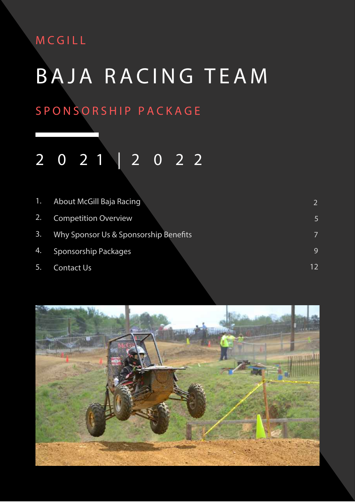### **MCGIL L**

# **BAJA RAC IN G T E A M**

### **SPONSORSHIP PACKAG E**

### **2 0 2 | 2 0 2** 1 2

| $\mathbf{1}$ . | About McGill Baja Racing              | 2  |
|----------------|---------------------------------------|----|
| 2.1            | <b>Competition Overview</b>           |    |
| 3.             | Why Sponsor Us & Sponsorship Benefits | 7  |
| 4.             | Sponsorship Packages                  | 9  |
| 5.             | <b>Contact Us</b>                     | 12 |

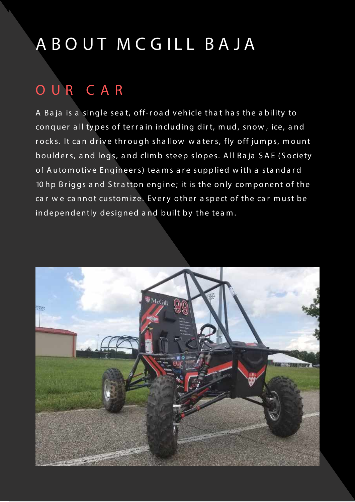## A B O U T M C G I L L B A J A

### **O U R C A R**

A Baja is a single seat, off-road vehicle that has the ability to conquer all types of terrain including dirt, mud, snow, ice, and rocks. It can drive through shallow waters, fly off jumps, mount boulders, and logs, and climb steep slopes. All Baja SAE (Society of Automotive Engineers) teams are supplied with a standard 10 hp Briggs and Stratton engine; it is the only component of the car we cannot customize. Every other aspect of the car must be independently designed and built by the team.

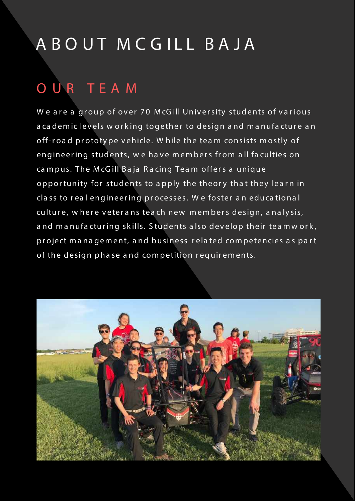## A B O U T M C G I L L B A J A

### **O U R T E A M**

We are a group of over 70 McGill University students of various a ca demic levels w orking together to design and manufacture an off-road prototype vehicle. While the team consists mostly of engineering students, we have members from all faculties on ca m p us. The McGill Baja Racing Team offers a unique opportunity for students to apply the theory that they learn in class to real engineering processes. We foster an educational culture, w here veterans teach new members design, analysis, and manufacturing skills. Students also develop their teamwork, project management, and business-related competencies as part of the design phase and competition requirements.

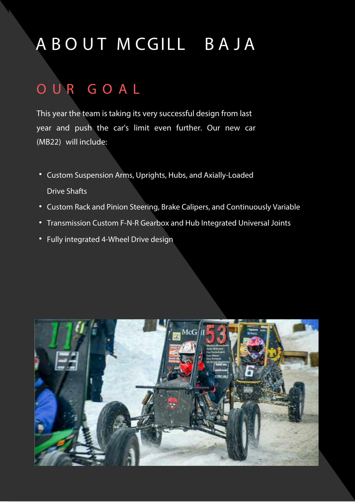## **A B O U T M CGILL B A J A**

### **O U R G O A L**

**This year the team is taking its very successful design from last year and push the car's limit even further. Our new car (MB2**2**) will include:**

- **Custom Suspension Arms, Uprights, Hubs, and Axially-Loaded Drive Shafts**
- **Custom Rack and Pinion Steering,** Brake Calipers, **and Continuously Variable**
- **Transmission Custom F-N-R Gearbox and Hub Integrated Universal Joints**
- **Fully integrated 4-Wheel Drive design**

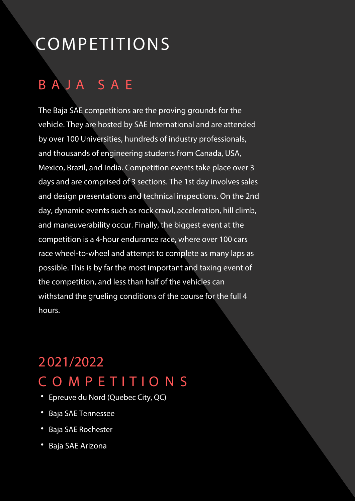## **COMPETITIONS**

### **B A J A S A E**

**The Baja SAE competitions are the proving grounds for the vehicle. They are hosted by SAE International and are attended by over 100 Universities, hundreds of industry professionals, and thousands of engineering students from Canada, USA, Mexico, Brazil, and India. Competition events take place over 3 days and are comprised of 3 sections. The 1st day involves sales and design presentations and technical inspections. On the 2nd day, dynamic events such as rock crawl, acceleration, hill climb, and maneuverability occur. Finally, the biggest event at the competition is a 4-hour endurance race, where over 100 cars race wheel-to-wheel and attempt to complete as many laps as possible. This is by far the most important and taxing event of the competition, and** less than half of the vehicles can withstand the grueling conditions of the course for the full 4 hours.

### **2 02**1**/202**2 **C O M P E T I T I O N S**

- **Epreuve du Nord (Quebec City, QC)**
- **Baja SAE** Tennessee
- **Baja SAE** Rochester
- **Baja SAE** Arizona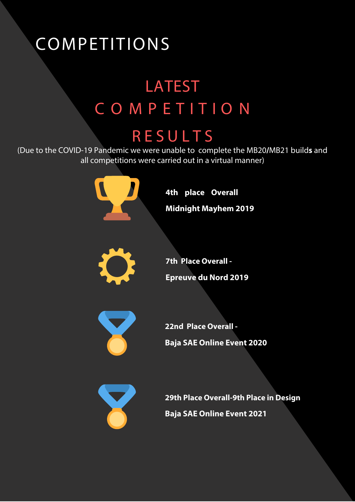## **COMPETITIONS**

## LATEST **C O M P E T I T I O N**

### **RESULT S**

**(Due to the** COVID-19 **Pandemic we were unable to complete the MB20/**MB21 **builds and all competitions were carried out in a virtual manner)** 



**4th place Overall Midnight Mayhem 2019** 

**22nd Place Overall -**

**Baja SAE Online Event 2020**



**29th Place Overall-9th Place in Design Baja SAE Online Event 2021**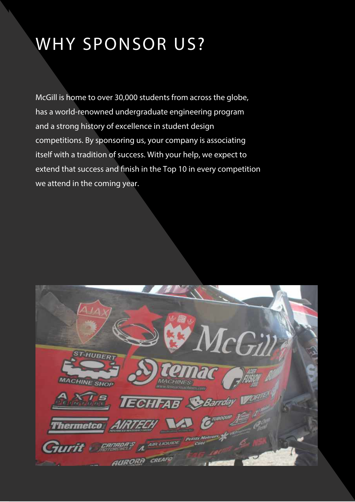## **WHY SPONSOR US?**

**McGill is home to over 30,000 students from across the globe, has a world-renowned undergraduate engineering program and a strong history of excellence in student design competitions. By sponsoring us, your company is associating itself with a tradition of success. With your help, we expect to** extend that success and finish in the Top 10 in every competition **we attend in the coming year.**

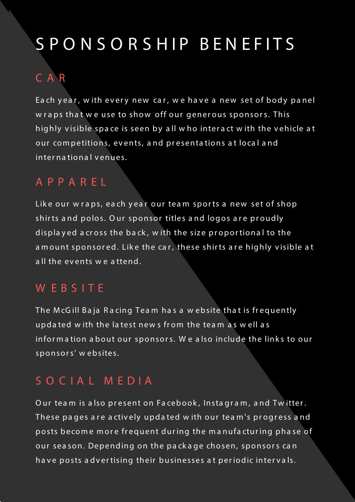## S P O N S O R S H I P B E N E F I T S

#### **C A R**

Each year, with every new car, we have a new set of body panel w raps that we use to show off our generous sponsors. This highly visible space is seen by all who interact with the vehicle at our competitions, events, and presentations at local and **in ter n a tio n a l v en ues.**

#### **A P P A R E L**

Like our wraps, each year our team sports a new set of shop shirts and polos. Our sponsor titles and logos are proudly displayed across the back, with the size proportional to the a mount sponsored. Like the car, these shirts are highly visible at **a ll th e ev en ts w e a tten d .**

#### **W E B S I T E**

The McGill Baja Racing Team has a website that is frequently updated with the latest news from the team as well as infor mation about our sponsors. We also include the links to our **sp o n so r s' w eb sites.**

#### **S O C I A L M E D I A**

Our team is also present on Facebook, Instagram, and Twitter. These pages are actively updated with our team's progress and posts become more frequent during the manufacturing phase of our season. Depending on the package chosen, sponsors can have posts advertising their businesses at periodic intervals.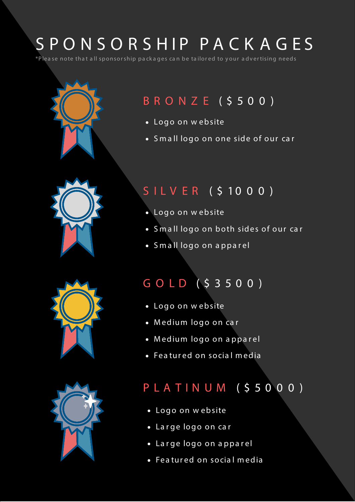## S P O N S O R S H I P P A C K A G E S

**\*P lea se n o te th a t a ll sp o n so r sh ip p a ck a g es ca n b e ta ilo r ed to y o ur a d v er tisin g n eed s**







### **B R O N Z E ( \$ 5 0 0 )**

- **Logo on website**
- **S** mall logo on one side of our car

#### **S I L V E R ( \$ 1 0 0 0 )**

- **Logo on website**
- **S** mall logo on both sides of our car
- **S m a ll lo g o o n a p p a r el**

### **G O L D ( \$ 3 5 0 0 )**

- **Logo on website**
- **Medium logo on car**
- **M ed ium lo g o o n a p p a r el**
- **Featured on social media**

### **P L A T I N U M ( \$ 5 0 0 0 )**

- **Logo on website**
- **Large logo on car**
- **Large logo on apparel**
- **Featured on social media**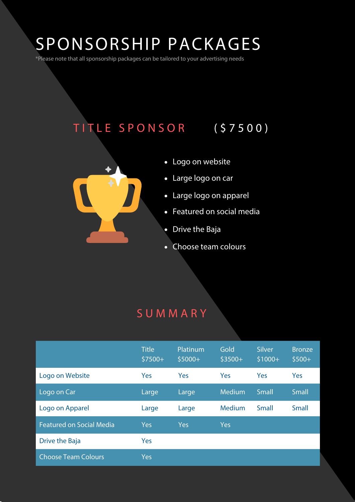## **SPONSORSHIP PACKAGES**

**\*Please note that all sponsorship packages can be tailored to your advertising needs**

### **T I TLE SPONSOR ( \$7500 )**



- **Logo on website**
- **Large logo on car**
- **Large logo on apparel**
- **Featured on social media**
- **Drive the Baja**
- **Choose team colours**

#### **SUMMAR Y**

|                                 | <b>Title</b><br>$$7500+$ | Platinum<br>$$5000+$ | Gold<br>$$3500+$ | <b>Silver</b><br>$$1000+$ | <b>Bronze</b><br>$$500+$ |
|---------------------------------|--------------------------|----------------------|------------------|---------------------------|--------------------------|
| Logo on Website                 | Yes                      | Yes                  | Yes              | Yes                       | Yes                      |
| Logo on Car                     | Large                    | Large                | Medium           | <b>Small</b>              | <b>Small</b>             |
| Logo on Apparel                 | Large                    | Large                | Medium           | Small                     | <b>Small</b>             |
| <b>Featured on Social Media</b> | <b>Yes</b>               | Yes                  | Yes              |                           |                          |
| Drive the Baja                  | Yes                      |                      |                  |                           |                          |
| <b>Choose Team Colours</b>      | <b>Yes</b>               |                      |                  |                           |                          |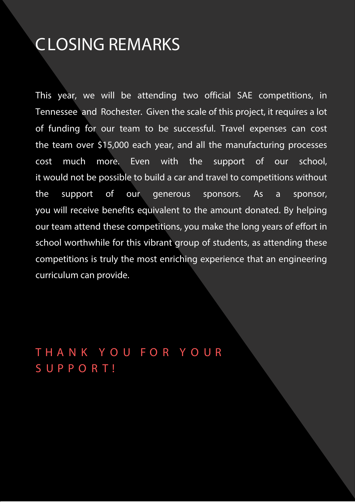### **CLOSING REMARKS**

**This year, we** will be **attend**ing **two** official **SAE competitions, in**  Tennessee **and** Rochester**. Given the scale of this project, it requires a lot of funding for our team to be successful. Travel expenses can cost the team over \$15,000 each year, and all the manufacturing processes cost much more. Even with the support of our school, it would not be possible to build a car and travel to competitions without the support of our generous sponsors. As a sponsor, you will receive benefits equivalent to the amount donated. By helping our team attend these competitions, you make the long years of effort in school worthwhile for this vibrant group of students, as attending these competitions is truly the most enriching experience that an engineering**  curriculum can provide.

**T H A N K Y O U F O R Y O U R S U P P O R T !**